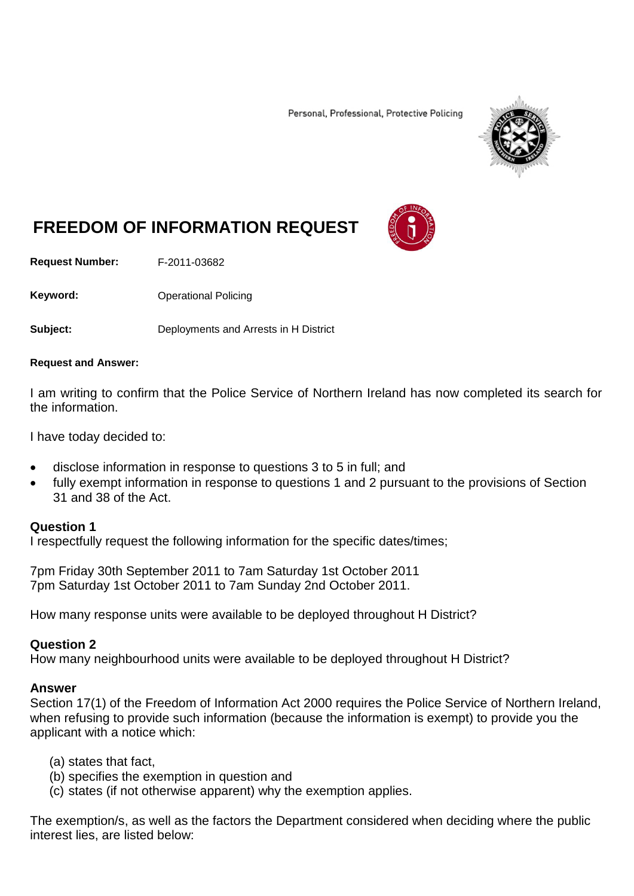Personal, Professional, Protective Policing



# **FREEDOM OF INFORMATION REQUEST**

**Request Number:** F-2011-03682

**Keyword:** Operational Policing

**Subject:** Deployments and Arrests in H District

#### **Request and Answer:**

I am writing to confirm that the Police Service of Northern Ireland has now completed its search for the information.

I have today decided to:

- disclose information in response to questions 3 to 5 in full; and
- fully exempt information in response to questions 1 and 2 pursuant to the provisions of Section 31 and 38 of the Act.

#### **Question 1**

I respectfully request the following information for the specific dates/times;

7pm Friday 30th September 2011 to 7am Saturday 1st October 2011 7pm Saturday 1st October 2011 to 7am Sunday 2nd October 2011.

How many response units were available to be deployed throughout H District?

## **Question 2**

How many neighbourhood units were available to be deployed throughout H District?

## **Answer**

Section 17(1) of the Freedom of Information Act 2000 requires the Police Service of Northern Ireland, when refusing to provide such information (because the information is exempt) to provide you the applicant with a notice which:

- (a) states that fact,
- (b) specifies the exemption in question and
- (c) states (if not otherwise apparent) why the exemption applies.

The exemption/s, as well as the factors the Department considered when deciding where the public interest lies, are listed below: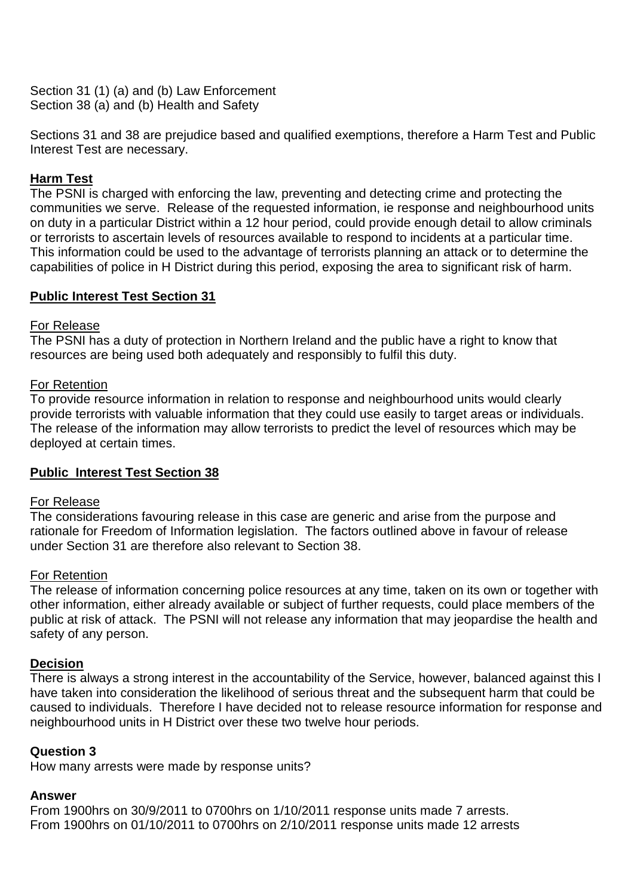Section 31 (1) (a) and (b) Law Enforcement Section 38 (a) and (b) Health and Safety

Sections 31 and 38 are prejudice based and qualified exemptions, therefore a Harm Test and Public Interest Test are necessary.

# **Harm Test**

The PSNI is charged with enforcing the law, preventing and detecting crime and protecting the communities we serve. Release of the requested information, ie response and neighbourhood units on duty in a particular District within a 12 hour period, could provide enough detail to allow criminals or terrorists to ascertain levels of resources available to respond to incidents at a particular time. This information could be used to the advantage of terrorists planning an attack or to determine the capabilities of police in H District during this period, exposing the area to significant risk of harm.

# **Public Interest Test Section 31**

## For Release

The PSNI has a duty of protection in Northern Ireland and the public have a right to know that resources are being used both adequately and responsibly to fulfil this duty.

## For Retention

To provide resource information in relation to response and neighbourhood units would clearly provide terrorists with valuable information that they could use easily to target areas or individuals. The release of the information may allow terrorists to predict the level of resources which may be deployed at certain times.

## **Public Interest Test Section 38**

## For Release

The considerations favouring release in this case are generic and arise from the purpose and rationale for Freedom of Information legislation. The factors outlined above in favour of release under Section 31 are therefore also relevant to Section 38.

## For Retention

The release of information concerning police resources at any time, taken on its own or together with other information, either already available or subject of further requests, could place members of the public at risk of attack. The PSNI will not release any information that may jeopardise the health and safety of any person.

## **Decision**

There is always a strong interest in the accountability of the Service, however, balanced against this I have taken into consideration the likelihood of serious threat and the subsequent harm that could be caused to individuals. Therefore I have decided not to release resource information for response and neighbourhood units in H District over these two twelve hour periods.

## **Question 3**

How many arrests were made by response units?

## **Answer**

From 1900hrs on 30/9/2011 to 0700hrs on 1/10/2011 response units made 7 arrests. From 1900hrs on 01/10/2011 to 0700hrs on 2/10/2011 response units made 12 arrests